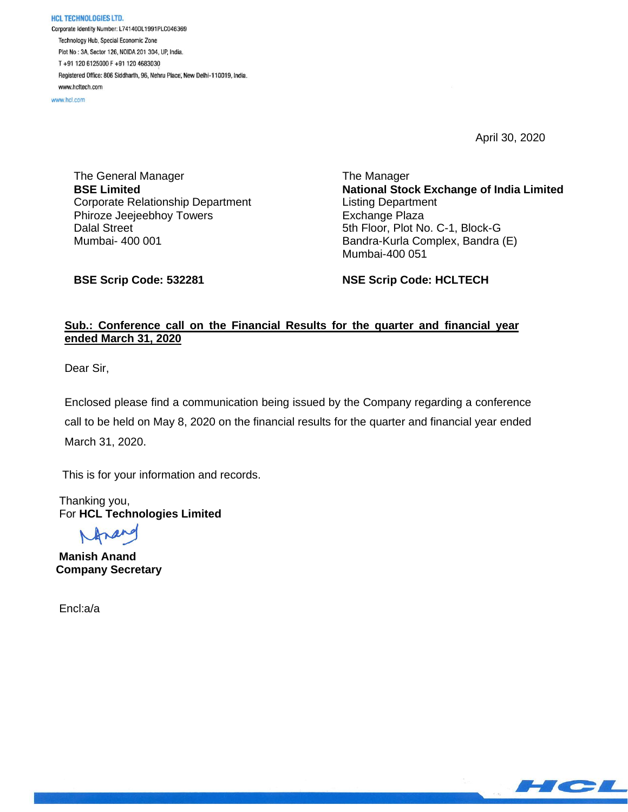**HCL TECHNOLOGIES LTD.** Corporate Identity Number: L74140DL1991PLC046369 Technology Hub, Special Economic Zone Plot No: 3A, Sector 126, NOIDA 201 304, UP, India. T+91 120 6125000 F+91 120 4683030 Registered Office: 806 Siddharth, 96, Nehru Place, New Delhi-110019, India. www.hcltech.com

www.hcl.com

April 30, 2020

The General Manager **BSE Limited** Corporate Relationship Department Phiroze Jeejeebhoy Towers Dalal Street Mumbai- 400 001

The Manager **National Stock Exchange of India Limited** Listing Department Exchange Plaza 5th Floor, Plot No. C-1, Block-G Bandra-Kurla Complex, Bandra (E) Mumbai-400 051

**BSE Scrip Code: 532281**

**NSE Scrip Code: HCLTECH**

## **Sub.: Conference call on the Financial Results for the quarter and financial year ended March 31, 2020**

Dear Sir,

Enclosed please find a communication being issued by the Company regarding a conference call to be held on May 8, 2020 on the financial results for the quarter and financial year ended March 31, 2020.

This is for your information and records.

 Thanking you, For **HCL Technologies Limited**

 **Manish Anand Company Secretary**

Encl:a/a